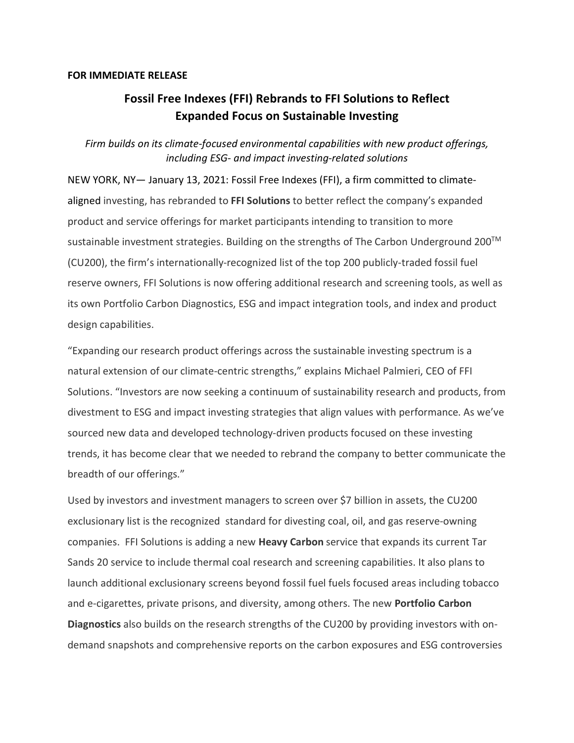## **FOR IMMEDIATE RELEASE**

## **Fossil Free Indexes (FFI) Rebrands to FFI Solutions to Reflect Expanded Focus on Sustainable Investing**

*Firm builds on its climate-focused environmental capabilities with new product offerings, including ESG- and impact investing-related solutions*

NEW YORK, NY— January 13, 2021: Fossil Free Indexes (FFI), a firm committed to climatealigned investing, has rebranded to **FFI Solutions** to better reflect the company's expanded product and service offerings for market participants intending to transition to more sustainable investment strategies. Building on the strengths of The Carbon Underground 200™ (CU200), the firm's internationally-recognized list of the top 200 publicly-traded fossil fuel reserve owners, FFI Solutions is now offering additional research and screening tools, as well as its own Portfolio Carbon Diagnostics, ESG and impact integration tools, and index and product design capabilities.

"Expanding our research product offerings across the sustainable investing spectrum is a natural extension of our climate-centric strengths," explains Michael Palmieri, CEO of FFI Solutions. "Investors are now seeking a continuum of sustainability research and products, from divestment to ESG and impact investing strategies that align values with performance. As we've sourced new data and developed technology-driven products focused on these investing trends, it has become clear that we needed to rebrand the company to better communicate the breadth of our offerings."

Used by investors and investment managers to screen over \$7 billion in assets, the CU200 exclusionary list is the recognized standard for divesting coal, oil, and gas reserve-owning companies. FFI Solutions is adding a new **Heavy Carbon** service that expands its current Tar Sands 20 service to include thermal coal research and screening capabilities. It also plans to launch additional exclusionary screens beyond fossil fuel fuels focused areas including tobacco and e-cigarettes, private prisons, and diversity, among others. The new **Portfolio Carbon Diagnostics** also builds on the research strengths of the CU200 by providing investors with ondemand snapshots and comprehensive reports on the carbon exposures and ESG controversies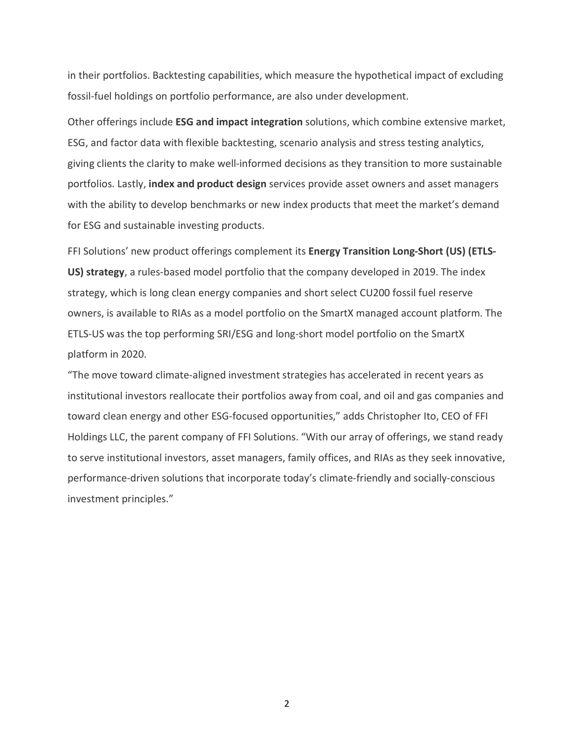in their portfolios. Backtesting capabilities, which measure the hypothetical impact of excluding fossil-fuel holdings on portfolio performance, are also under development.

Other offerings include **ESG and impact integration** solutions, which combine extensive market, ESG, and factor data with flexible backtesting, scenario analysis and stress testing analytics, giving clients the clarity to make well-informed decisions as they transition to more sustainable portfolios. Lastly, **index and product design** services provide asset owners and asset managers with the ability to develop benchmarks or new index products that meet the market's demand for ESG and sustainable investing products.

FFI Solutions' new product offerings complement its **Energy Transition Long-Short (US) (ETLS-US) strategy**, a rules-based model portfolio that the company developed in 2019. The index strategy, which is long clean energy companies and short select CU200 fossil fuel reserve owners, is available to RIAs as a model portfolio on the SmartX managed account platform. The ETLS-US was the top performing SRI/ESG and long-short model portfolio on the SmartX platform in 2020.

"The move toward climate-aligned investment strategies has accelerated in recent years as institutional investors reallocate their portfolios away from coal, and oil and gas companies and toward clean energy and other ESG-focused opportunities," adds Christopher Ito, CEO of FFI Holdings LLC, the parent company of FFI Solutions. "With our array of offerings, we stand ready to serve institutional investors, asset managers, family offices, and RIAs as they seek innovative, performance-driven solutions that incorporate today's climate-friendly and socially-conscious investment principles."

2